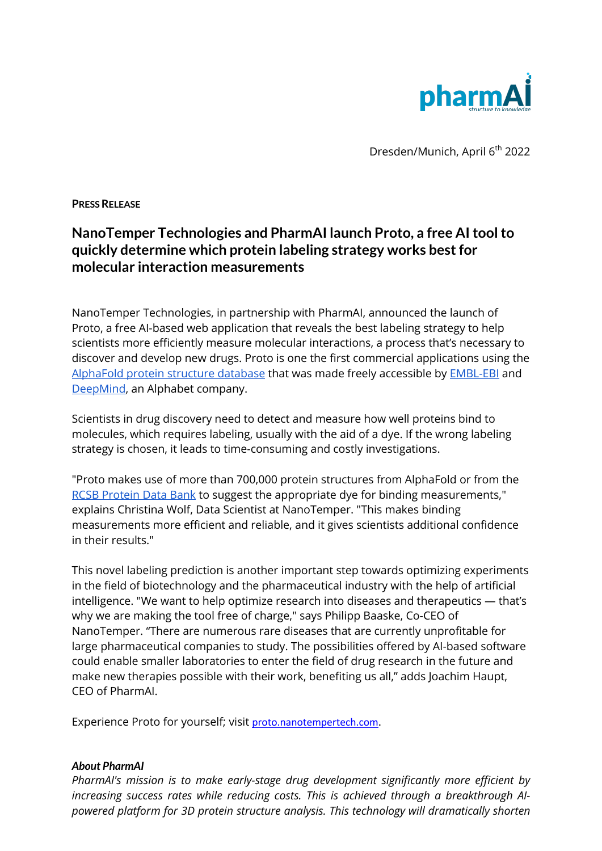

Dresden/Munich, April 6<sup>th</sup> 2022

**PRESS RELEASE**

## **NanoTemper Technologies and PharmAI launch Proto, a free AI tool to quickly determine which protein labeling strategy works best for molecular interaction measurements**

NanoTemper Technologies, in partnership with PharmAI, announced the launch of Proto, a free AI-based web application that reveals the best labeling strategy to help scientists more efficiently measure molecular interactions, a process that's necessary to discover and develop new drugs. Proto is one the first commercial applications using the AlphaFold protein structure database that was made freely accessible by EMBL-EBI and DeepMind, an Alphabet company.

Scientists in drug discovery need to detect and measure how well proteins bind to molecules, which requires labeling, usually with the aid of a dye. If the wrong labeling strategy is chosen, it leads to time-consuming and costly investigations.

"Proto makes use of more than 700,000 protein structures from AlphaFold or from the RCSB Protein Data Bank to suggest the appropriate dye for binding measurements," explains Christina Wolf, Data Scientist at NanoTemper. "This makes binding measurements more efficient and reliable, and it gives scientists additional confidence in their results."

This novel labeling prediction is another important step towards optimizing experiments in the field of biotechnology and the pharmaceutical industry with the help of artificial intelligence. "We want to help optimize research into diseases and therapeutics — that's why we are making the tool free of charge," says Philipp Baaske, Co-CEO of NanoTemper. "There are numerous rare diseases that are currently unprofitable for large pharmaceutical companies to study. The possibilities offered by AI-based software could enable smaller laboratories to enter the field of drug research in the future and make new therapies possible with their work, benefiting us all," adds Joachim Haupt, CEO of PharmAI.

Experience Proto for yourself; visit proto.nanotempertech.com.

## *About PharmAI*

*PharmAI's mission is to make early-stage drug development significantly more efficient by increasing success rates while reducing costs. This is achieved through a breakthrough AIpowered platform for 3D protein structure analysis. This technology will dramatically shorten*